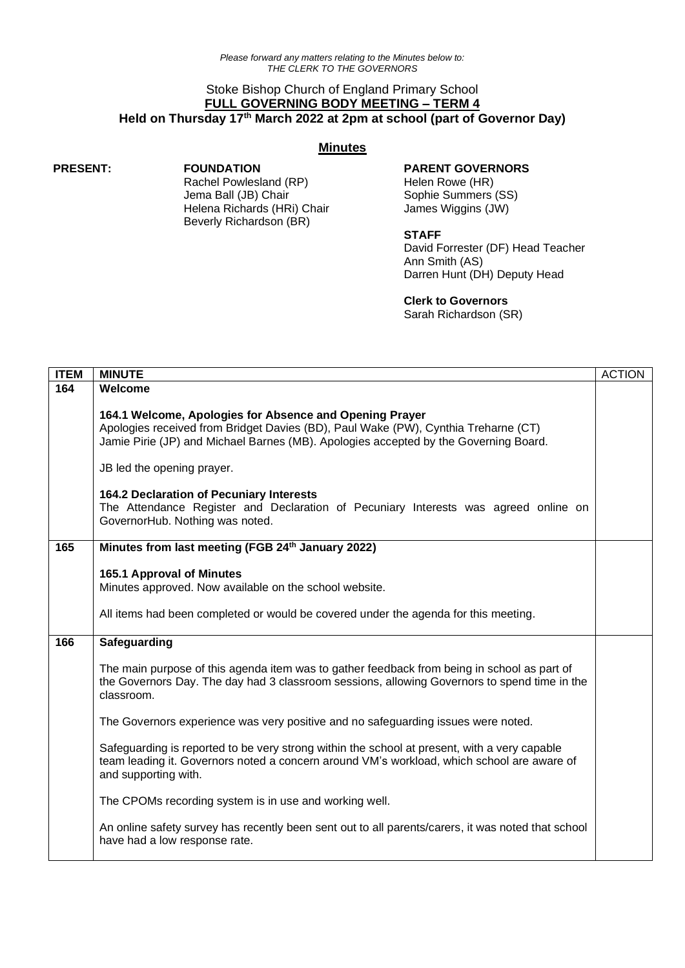## Stoke Bishop Church of England Primary School **FULL GOVERNING BODY MEETING – TERM 4 Held on Thursday 17th March 2022 at 2pm at school (part of Governor Day)**

# **Minutes**

#### **PRESENT: FOUNDATION**

Rachel Powlesland (RP) Jema Ball (JB) Chair Helena Richards (HRi) Chair Beverly Richardson (BR)

# **PARENT GOVERNORS**

Helen Rowe (HR) Sophie Summers (SS) James Wiggins (JW)

#### **STAFF**

David Forrester (DF) Head Teacher Ann Smith (AS) Darren Hunt (DH) Deputy Head

### **Clerk to Governors**

Sarah Richardson (SR)

| <b>ITEM</b> | <b>MINUTE</b>                                                                                                                                                                                                                         | <b>ACTION</b> |
|-------------|---------------------------------------------------------------------------------------------------------------------------------------------------------------------------------------------------------------------------------------|---------------|
| 164         | Welcome                                                                                                                                                                                                                               |               |
|             | 164.1 Welcome, Apologies for Absence and Opening Prayer<br>Apologies received from Bridget Davies (BD), Paul Wake (PW), Cynthia Treharne (CT)<br>Jamie Pirie (JP) and Michael Barnes (MB). Apologies accepted by the Governing Board. |               |
|             | JB led the opening prayer.                                                                                                                                                                                                            |               |
|             | <b>164.2 Declaration of Pecuniary Interests</b><br>The Attendance Register and Declaration of Pecuniary Interests was agreed online on<br>GovernorHub. Nothing was noted.                                                             |               |
| 165         | Minutes from last meeting (FGB 24th January 2022)                                                                                                                                                                                     |               |
|             | 165.1 Approval of Minutes<br>Minutes approved. Now available on the school website.                                                                                                                                                   |               |
|             | All items had been completed or would be covered under the agenda for this meeting.                                                                                                                                                   |               |
| 166         | Safeguarding                                                                                                                                                                                                                          |               |
|             | The main purpose of this agenda item was to gather feedback from being in school as part of<br>the Governors Day. The day had 3 classroom sessions, allowing Governors to spend time in the<br>classroom.                             |               |
|             | The Governors experience was very positive and no safeguarding issues were noted.                                                                                                                                                     |               |
|             | Safeguarding is reported to be very strong within the school at present, with a very capable<br>team leading it. Governors noted a concern around VM's workload, which school are aware of<br>and supporting with.                    |               |
|             | The CPOMs recording system is in use and working well.                                                                                                                                                                                |               |
|             | An online safety survey has recently been sent out to all parents/carers, it was noted that school<br>have had a low response rate.                                                                                                   |               |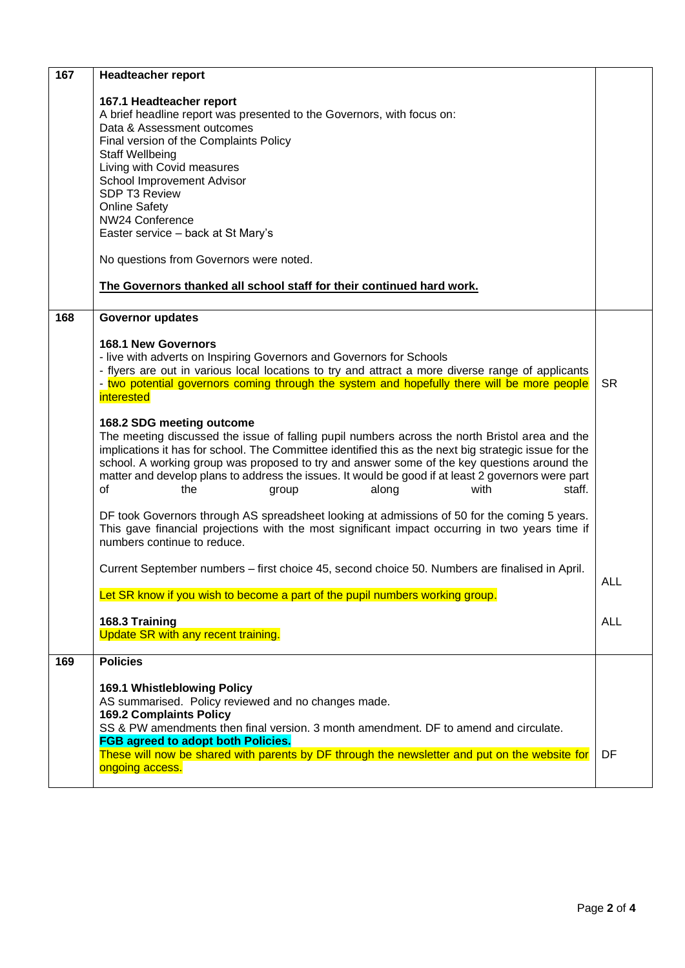| 167 | <b>Headteacher report</b>                                                                                                                                                                                                                                                                                                                                                                                                                                                                                                                                                                                                                                                                                                                                                                                                                                                                                                                                                                                                                                                                                                                              |            |
|-----|--------------------------------------------------------------------------------------------------------------------------------------------------------------------------------------------------------------------------------------------------------------------------------------------------------------------------------------------------------------------------------------------------------------------------------------------------------------------------------------------------------------------------------------------------------------------------------------------------------------------------------------------------------------------------------------------------------------------------------------------------------------------------------------------------------------------------------------------------------------------------------------------------------------------------------------------------------------------------------------------------------------------------------------------------------------------------------------------------------------------------------------------------------|------------|
|     | 167.1 Headteacher report<br>A brief headline report was presented to the Governors, with focus on:<br>Data & Assessment outcomes<br>Final version of the Complaints Policy<br><b>Staff Wellbeing</b><br>Living with Covid measures<br>School Improvement Advisor<br>SDP T3 Review<br><b>Online Safety</b><br>NW24 Conference<br>Easter service - back at St Mary's<br>No questions from Governors were noted.<br>The Governors thanked all school staff for their continued hard work.                                                                                                                                                                                                                                                                                                                                                                                                                                                                                                                                                                                                                                                                 |            |
| 168 | <b>Governor updates</b>                                                                                                                                                                                                                                                                                                                                                                                                                                                                                                                                                                                                                                                                                                                                                                                                                                                                                                                                                                                                                                                                                                                                |            |
|     | <b>168.1 New Governors</b><br>- live with adverts on Inspiring Governors and Governors for Schools<br>- flyers are out in various local locations to try and attract a more diverse range of applicants<br>- two potential governors coming through the system and hopefully there will be more people<br>interested<br>168.2 SDG meeting outcome<br>The meeting discussed the issue of falling pupil numbers across the north Bristol area and the<br>implications it has for school. The Committee identified this as the next big strategic issue for the<br>school. A working group was proposed to try and answer some of the key questions around the<br>matter and develop plans to address the issues. It would be good if at least 2 governors were part<br>of<br>with<br>staff.<br>the<br>along<br>group<br>DF took Governors through AS spreadsheet looking at admissions of 50 for the coming 5 years.<br>This gave financial projections with the most significant impact occurring in two years time if<br>numbers continue to reduce.<br>Current September numbers - first choice 45, second choice 50. Numbers are finalised in April. | <b>SR</b>  |
|     |                                                                                                                                                                                                                                                                                                                                                                                                                                                                                                                                                                                                                                                                                                                                                                                                                                                                                                                                                                                                                                                                                                                                                        | <b>ALL</b> |
|     | Let SR know if you wish to become a part of the pupil numbers working group.                                                                                                                                                                                                                                                                                                                                                                                                                                                                                                                                                                                                                                                                                                                                                                                                                                                                                                                                                                                                                                                                           |            |
|     | 168.3 Training                                                                                                                                                                                                                                                                                                                                                                                                                                                                                                                                                                                                                                                                                                                                                                                                                                                                                                                                                                                                                                                                                                                                         | <b>ALL</b> |
|     | Update SR with any recent training.                                                                                                                                                                                                                                                                                                                                                                                                                                                                                                                                                                                                                                                                                                                                                                                                                                                                                                                                                                                                                                                                                                                    |            |
| 169 | <b>Policies</b>                                                                                                                                                                                                                                                                                                                                                                                                                                                                                                                                                                                                                                                                                                                                                                                                                                                                                                                                                                                                                                                                                                                                        |            |
|     | 169.1 Whistleblowing Policy                                                                                                                                                                                                                                                                                                                                                                                                                                                                                                                                                                                                                                                                                                                                                                                                                                                                                                                                                                                                                                                                                                                            |            |
|     | AS summarised. Policy reviewed and no changes made.<br><b>169.2 Complaints Policy</b>                                                                                                                                                                                                                                                                                                                                                                                                                                                                                                                                                                                                                                                                                                                                                                                                                                                                                                                                                                                                                                                                  |            |
|     | SS & PW amendments then final version. 3 month amendment. DF to amend and circulate.                                                                                                                                                                                                                                                                                                                                                                                                                                                                                                                                                                                                                                                                                                                                                                                                                                                                                                                                                                                                                                                                   |            |
|     | <b>FGB agreed to adopt both Policies.</b><br>These will now be shared with parents by DF through the newsletter and put on the website for                                                                                                                                                                                                                                                                                                                                                                                                                                                                                                                                                                                                                                                                                                                                                                                                                                                                                                                                                                                                             | DF         |
|     | ongoing access.                                                                                                                                                                                                                                                                                                                                                                                                                                                                                                                                                                                                                                                                                                                                                                                                                                                                                                                                                                                                                                                                                                                                        |            |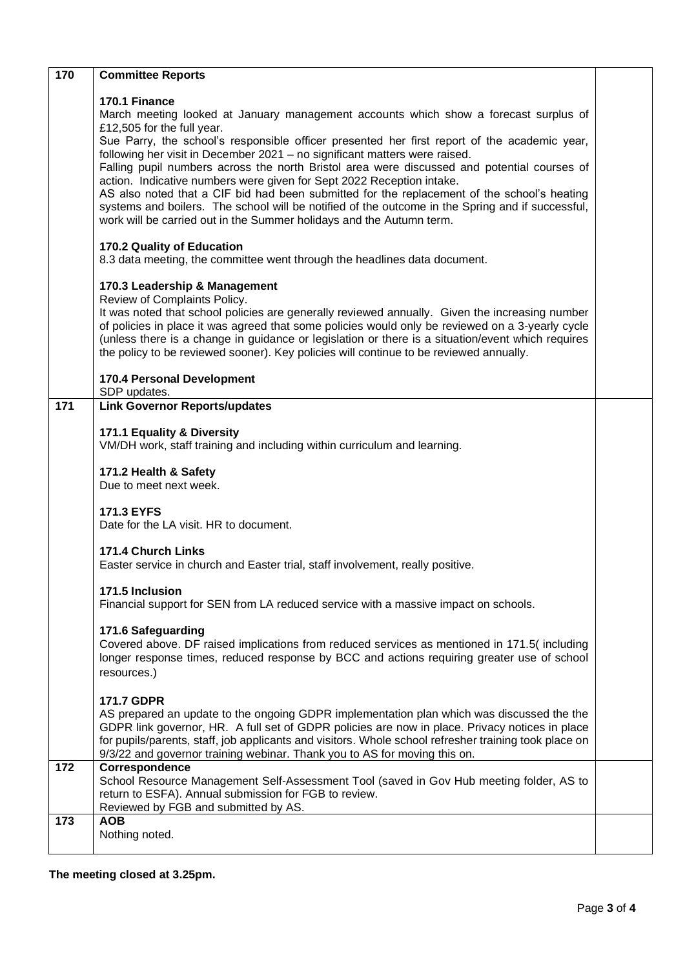| 170 | <b>Committee Reports</b>                                                                                                                                                                              |  |
|-----|-------------------------------------------------------------------------------------------------------------------------------------------------------------------------------------------------------|--|
|     |                                                                                                                                                                                                       |  |
|     | 170.1 Finance<br>March meeting looked at January management accounts which show a forecast surplus of                                                                                                 |  |
|     | £12,505 for the full year.                                                                                                                                                                            |  |
|     | Sue Parry, the school's responsible officer presented her first report of the academic year,                                                                                                          |  |
|     | following her visit in December 2021 - no significant matters were raised.                                                                                                                            |  |
|     | Falling pupil numbers across the north Bristol area were discussed and potential courses of                                                                                                           |  |
|     | action. Indicative numbers were given for Sept 2022 Reception intake.                                                                                                                                 |  |
|     | AS also noted that a CIF bid had been submitted for the replacement of the school's heating<br>systems and boilers. The school will be notified of the outcome in the Spring and if successful,       |  |
|     | work will be carried out in the Summer holidays and the Autumn term.                                                                                                                                  |  |
|     |                                                                                                                                                                                                       |  |
|     | 170.2 Quality of Education                                                                                                                                                                            |  |
|     | 8.3 data meeting, the committee went through the headlines data document.                                                                                                                             |  |
|     | 170.3 Leadership & Management                                                                                                                                                                         |  |
|     | Review of Complaints Policy.                                                                                                                                                                          |  |
|     | It was noted that school policies are generally reviewed annually. Given the increasing number                                                                                                        |  |
|     | of policies in place it was agreed that some policies would only be reviewed on a 3-yearly cycle<br>(unless there is a change in guidance or legislation or there is a situation/event which requires |  |
|     | the policy to be reviewed sooner). Key policies will continue to be reviewed annually.                                                                                                                |  |
|     |                                                                                                                                                                                                       |  |
|     | 170.4 Personal Development                                                                                                                                                                            |  |
| 171 | SDP updates.<br><b>Link Governor Reports/updates</b>                                                                                                                                                  |  |
|     |                                                                                                                                                                                                       |  |
|     | 171.1 Equality & Diversity                                                                                                                                                                            |  |
|     | VM/DH work, staff training and including within curriculum and learning.                                                                                                                              |  |
|     | 171.2 Health & Safety                                                                                                                                                                                 |  |
|     | Due to meet next week.                                                                                                                                                                                |  |
|     |                                                                                                                                                                                                       |  |
|     | <b>171.3 EYFS</b>                                                                                                                                                                                     |  |
|     | Date for the LA visit. HR to document.                                                                                                                                                                |  |
|     | 171.4 Church Links                                                                                                                                                                                    |  |
|     | Easter service in church and Easter trial, staff involvement, really positive.                                                                                                                        |  |
|     |                                                                                                                                                                                                       |  |
|     | 171.5 Inclusion<br>Financial support for SEN from LA reduced service with a massive impact on schools.                                                                                                |  |
|     |                                                                                                                                                                                                       |  |
|     | 171.6 Safeguarding                                                                                                                                                                                    |  |
|     | Covered above. DF raised implications from reduced services as mentioned in 171.5(including                                                                                                           |  |
|     | longer response times, reduced response by BCC and actions requiring greater use of school                                                                                                            |  |
|     | resources.)                                                                                                                                                                                           |  |
|     | <b>171.7 GDPR</b>                                                                                                                                                                                     |  |
|     | AS prepared an update to the ongoing GDPR implementation plan which was discussed the the                                                                                                             |  |
|     | GDPR link governor, HR. A full set of GDPR policies are now in place. Privacy notices in place                                                                                                        |  |
|     | for pupils/parents, staff, job applicants and visitors. Whole school refresher training took place on                                                                                                 |  |
| 172 | 9/3/22 and governor training webinar. Thank you to AS for moving this on.<br>Correspondence                                                                                                           |  |
|     | School Resource Management Self-Assessment Tool (saved in Gov Hub meeting folder, AS to                                                                                                               |  |
|     | return to ESFA). Annual submission for FGB to review.                                                                                                                                                 |  |
|     | Reviewed by FGB and submitted by AS.                                                                                                                                                                  |  |
| 173 | <b>AOB</b>                                                                                                                                                                                            |  |
|     | Nothing noted.                                                                                                                                                                                        |  |
|     |                                                                                                                                                                                                       |  |

**The meeting closed at 3.25pm.**